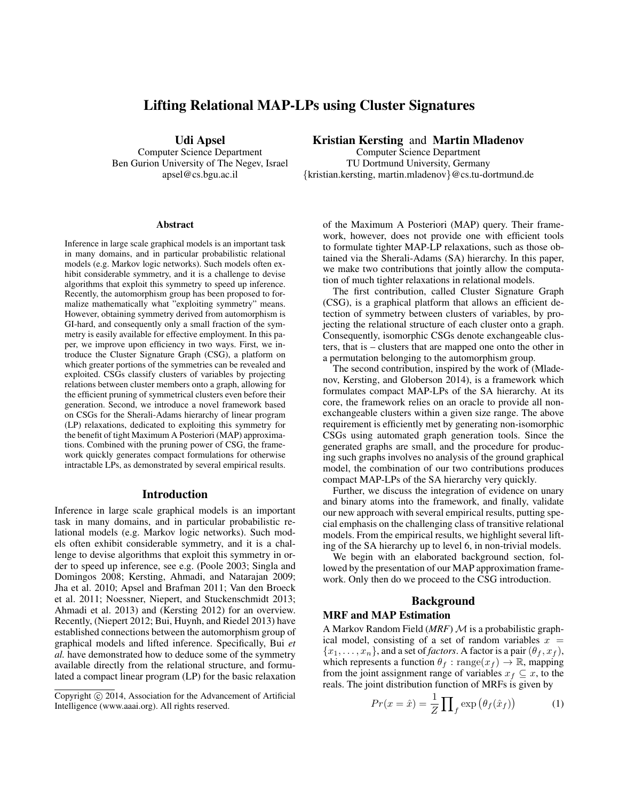# Lifting Relational MAP-LPs using Cluster Signatures

Udi Apsel

Computer Science Department Ben Gurion University of The Negev, Israel apsel@cs.bgu.ac.il

#### Abstract

Inference in large scale graphical models is an important task in many domains, and in particular probabilistic relational models (e.g. Markov logic networks). Such models often exhibit considerable symmetry, and it is a challenge to devise algorithms that exploit this symmetry to speed up inference. Recently, the automorphism group has been proposed to formalize mathematically what "exploiting symmetry" means. However, obtaining symmetry derived from automorphism is GI-hard, and consequently only a small fraction of the symmetry is easily available for effective employment. In this paper, we improve upon efficiency in two ways. First, we introduce the Cluster Signature Graph (CSG), a platform on which greater portions of the symmetries can be revealed and exploited. CSGs classify clusters of variables by projecting relations between cluster members onto a graph, allowing for the efficient pruning of symmetrical clusters even before their generation. Second, we introduce a novel framework based on CSGs for the Sherali-Adams hierarchy of linear program (LP) relaxations, dedicated to exploiting this symmetry for the benefit of tight Maximum A Posteriori (MAP) approximations. Combined with the pruning power of CSG, the framework quickly generates compact formulations for otherwise intractable LPs, as demonstrated by several empirical results.

#### Introduction

Inference in large scale graphical models is an important task in many domains, and in particular probabilistic relational models (e.g. Markov logic networks). Such models often exhibit considerable symmetry, and it is a challenge to devise algorithms that exploit this symmetry in order to speed up inference, see e.g. (Poole 2003; Singla and Domingos 2008; Kersting, Ahmadi, and Natarajan 2009; Jha et al. 2010; Apsel and Brafman 2011; Van den Broeck et al. 2011; Noessner, Niepert, and Stuckenschmidt 2013; Ahmadi et al. 2013) and (Kersting 2012) for an overview. Recently, (Niepert 2012; Bui, Huynh, and Riedel 2013) have established connections between the automorphism group of graphical models and lifted inference. Specifically, Bui *et al.* have demonstrated how to deduce some of the symmetry available directly from the relational structure, and formulated a compact linear program (LP) for the basic relaxation

Kristian Kersting and Martin Mladenov

Computer Science Department TU Dortmund University, Germany {kristian.kersting, martin.mladenov}@cs.tu-dortmund.de

of the Maximum A Posteriori (MAP) query. Their framework, however, does not provide one with efficient tools to formulate tighter MAP-LP relaxations, such as those obtained via the Sherali-Adams (SA) hierarchy. In this paper, we make two contributions that jointly allow the computation of much tighter relaxations in relational models.

The first contribution, called Cluster Signature Graph (CSG), is a graphical platform that allows an efficient detection of symmetry between clusters of variables, by projecting the relational structure of each cluster onto a graph. Consequently, isomorphic CSGs denote exchangeable clusters, that is – clusters that are mapped one onto the other in a permutation belonging to the automorphism group.

The second contribution, inspired by the work of (Mladenov, Kersting, and Globerson 2014), is a framework which formulates compact MAP-LPs of the SA hierarchy. At its core, the framework relies on an oracle to provide all nonexchangeable clusters within a given size range. The above requirement is efficiently met by generating non-isomorphic CSGs using automated graph generation tools. Since the generated graphs are small, and the procedure for producing such graphs involves no analysis of the ground graphical model, the combination of our two contributions produces compact MAP-LPs of the SA hierarchy very quickly.

Further, we discuss the integration of evidence on unary and binary atoms into the framework, and finally, validate our new approach with several empirical results, putting special emphasis on the challenging class of transitive relational models. From the empirical results, we highlight several lifting of the SA hierarchy up to level 6, in non-trivial models.

We begin with an elaborated background section, followed by the presentation of our MAP approximation framework. Only then do we proceed to the CSG introduction.

## Background

### MRF and MAP Estimation

A Markov Random Field (*MRF*) M is a probabilistic graphical model, consisting of a set of random variables  $x =$  ${x_1, \ldots, x_n}$ , and a set of *factors*. A factor is a pair  $(\theta_f, x_f)$ , which represents a function  $\theta_f : \text{range}(x_f) \to \mathbb{R}$ , mapping from the joint assignment range of variables  $x_f \subseteq x$ , to the reals. The joint distribution function of MRFs is given by

$$
Pr(x = \hat{x}) = \frac{1}{Z} \prod_{f} \exp\left(\theta_f(\hat{x}_f)\right)
$$
 (1)

Copyright © 2014, Association for the Advancement of Artificial Intelligence (www.aaai.org). All rights reserved.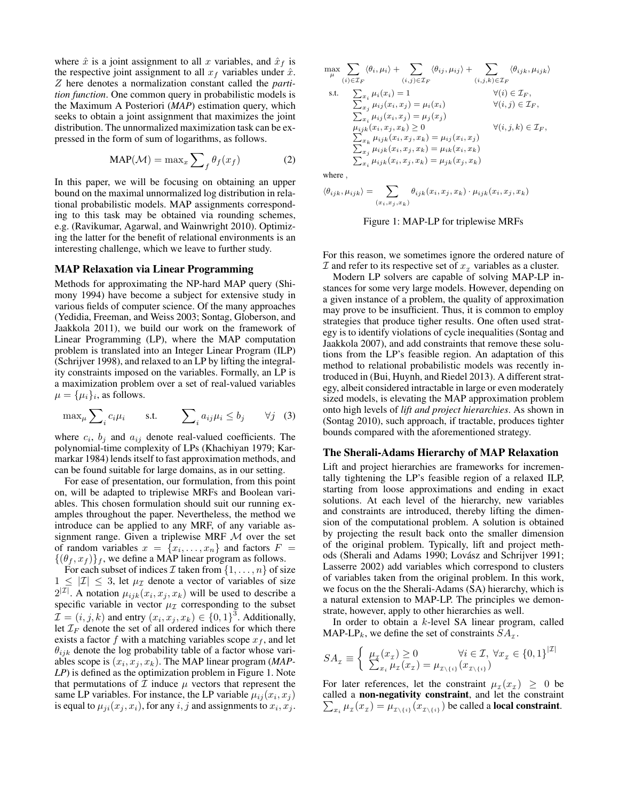where  $\hat{x}$  is a joint assignment to all x variables, and  $\hat{x}_f$  is the respective joint assignment to all  $x_f$  variables under  $\hat{x}$ . Z here denotes a normalization constant called the *partition function*. One common query in probabilistic models is the Maximum A Posteriori (*MAP*) estimation query, which seeks to obtain a joint assignment that maximizes the joint distribution. The unnormalized maximization task can be expressed in the form of sum of logarithms, as follows.

$$
MAP(\mathcal{M}) = \max_{x} \sum_{f} \theta_{f}(x_{f})
$$
 (2)

In this paper, we will be focusing on obtaining an upper bound on the maximal unnormalized log distribution in relational probabilistic models. MAP assignments corresponding to this task may be obtained via rounding schemes, e.g. (Ravikumar, Agarwal, and Wainwright 2010). Optimizing the latter for the benefit of relational environments is an interesting challenge, which we leave to further study.

#### MAP Relaxation via Linear Programming

Methods for approximating the NP-hard MAP query (Shimony 1994) have become a subject for extensive study in various fields of computer science. Of the many approaches (Yedidia, Freeman, and Weiss 2003; Sontag, Globerson, and Jaakkola 2011), we build our work on the framework of Linear Programming (LP), where the MAP computation problem is translated into an Integer Linear Program (ILP) (Schrijver 1998), and relaxed to an LP by lifting the integrality constraints imposed on the variables. Formally, an LP is a maximization problem over a set of real-valued variables  $\mu = {\mu_i}_i$ , as follows.

$$
\max_{\mu} \sum_{i} c_i \mu_i \quad \text{s.t.} \quad \sum_{i} a_{ij} \mu_i \le b_j \quad \forall j \quad (3)
$$

where  $c_i$ ,  $b_j$  and  $a_{ij}$  denote real-valued coefficients. The polynomial-time complexity of LPs (Khachiyan 1979; Karmarkar 1984) lends itself to fast approximation methods, and can be found suitable for large domains, as in our setting.

For ease of presentation, our formulation, from this point on, will be adapted to triplewise MRFs and Boolean variables. This chosen formulation should suit our running examples throughout the paper. Nevertheless, the method we introduce can be applied to any MRF, of any variable assignment range. Given a triplewise MRF M over the set of random variables  $x = \{x_1, \ldots, x_n\}$  and factors  $F =$  $\{(\theta_f, x_f)\}_f$ , we define a MAP linear program as follows.

For each subset of indices  $\mathcal I$  taken from  $\{1,\ldots,n\}$  of size  $1 \leq |\mathcal{I}| \leq 3$ , let  $\mu_{\mathcal{I}}$  denote a vector of variables of size  $2^{|\mathcal{I}|}$ . A notation  $\mu_{ijk}(x_i, x_j, x_k)$  will be used to describe a specific variable in vector  $\mu_{\mathcal{I}}$  corresponding to the subset  $\mathcal{I} = (i, j, k)$  and entry  $(x_i, x_j, x_k) \in \{0, 1\}^3$ . Additionally, let  $\mathcal{I}_F$  denote the set of all ordered indices for which there exists a factor f with a matching variables scope  $x_f$ , and let  $\theta_{ijk}$  denote the log probability table of a factor whose variables scope is  $(x_i, x_j, x_k)$ . The MAP linear program (*MAP*-*LP*) is defined as the optimization problem in Figure 1. Note that permutations of  $\mathcal I$  induce  $\mu$  vectors that represent the same LP variables. For instance, the LP variable  $\mu_{ij}(x_i, x_j)$ is equal to  $\mu_{ji}(x_j, x_i)$ , for any  $i, j$  and assignments to  $x_i, x_j$ .

$$
\max_{\mu} \sum_{(i) \in \mathcal{I}_F} \langle \theta_i, \mu_i \rangle + \sum_{(i,j) \in \mathcal{I}_F} \langle \theta_{ij}, \mu_{ij} \rangle + \sum_{(i,j,k) \in \mathcal{I}_F} \langle \theta_{ijk}, \mu_{ijk} \rangle
$$
  
s.t. 
$$
\sum_{x_i} \mu_i(x_i) = 1 \qquad \forall (i) \in \mathcal{I}_F,
$$

$$
\sum_{x_j} \mu_{ij}(x_i, x_j) = \mu_i(x_i) \qquad \forall (i,j) \in \mathcal{I}_F,
$$

$$
\sum_{x_i} \mu_{ij}(x_i, x_j) = \mu_j(x_j)
$$

$$
\mu_{ijk}(x_i, x_j, x_k) \ge 0 \qquad \forall (i,j,k) \in \mathcal{I}_F,
$$

$$
\sum_{x_k} \mu_{ijk}(x_i, x_j, x_k) = \mu_{ij}(x_i, x_j)
$$

where ,

$$
\langle \theta_{ijk}, \mu_{ijk} \rangle = \sum_{(x_i, x_j, x_k)} \theta_{ijk}(x_i, x_j, x_k) \cdot \mu_{ijk}(x_i, x_j, x_k)
$$

 $\sum_{x_j} \mu_{ijk}(x_i, x_j, x_k) = \mu_{ik}(x_i, x_k)$  $\sum_{x_i} \mu_{ijk}(x_i, x_j, x_k) = \mu_{jk}(x_j, x_k)$ 

Figure 1: MAP-LP for triplewise MRFs

For this reason, we sometimes ignore the ordered nature of  $I$  and refer to its respective set of  $x<sub>T</sub>$  variables as a cluster.

Modern LP solvers are capable of solving MAP-LP instances for some very large models. However, depending on a given instance of a problem, the quality of approximation may prove to be insufficient. Thus, it is common to employ strategies that produce tigher results. One often used strategy is to identify violations of cycle inequalities (Sontag and Jaakkola 2007), and add constraints that remove these solutions from the LP's feasible region. An adaptation of this method to relational probabilistic models was recently introduced in (Bui, Huynh, and Riedel 2013). A different strategy, albeit considered intractable in large or even moderately sized models, is elevating the MAP approximation problem onto high levels of *lift and project hierarchies*. As shown in (Sontag 2010), such approach, if tractable, produces tighter bounds compared with the aforementioned strategy.

#### The Sherali-Adams Hierarchy of MAP Relaxation

Lift and project hierarchies are frameworks for incrementally tightening the LP's feasible region of a relaxed ILP, starting from loose approximations and ending in exact solutions. At each level of the hierarchy, new variables and constraints are introduced, thereby lifting the dimension of the computational problem. A solution is obtained by projecting the result back onto the smaller dimension of the original problem. Typically, lift and project methods (Sherali and Adams 1990; Lovász and Schrijver 1991; Lasserre 2002) add variables which correspond to clusters of variables taken from the original problem. In this work, we focus on the the Sherali-Adams (SA) hierarchy, which is a natural extension to MAP-LP. The principles we demonstrate, however, apply to other hierarchies as well.

In order to obtain a k-level SA linear program, called MAP-LP<sub>k</sub>, we define the set of constraints  $SA_{\tau}$ .

$$
SA_{\mathcal{I}} \equiv \left\{ \begin{array}{l} \mu_{\mathcal{I}}(x_{\mathcal{I}}) \ge 0 & \forall i \in \mathcal{I}, \ \forall x_{\mathcal{I}} \in \{0, 1\}^{|\mathcal{I}|} \\ \sum_{x_i} \mu_{\mathcal{I}}(x_{\mathcal{I}}) = \mu_{\mathcal{I} \setminus \{i\}}(x_{\mathcal{I} \setminus \{i\}}) \end{array} \right.
$$

For later references, let the constraint  $\mu_{\tau}(x_{\tau}) \geq 0$  be called a non-negativity constraint, and let the constraint  $\sum_{x_i} \mu_{\tau}(x_{\tau}) = \mu_{\tau \setminus \{i\}}(x_{\tau \setminus \{i\}})$  be called a **local constraint**.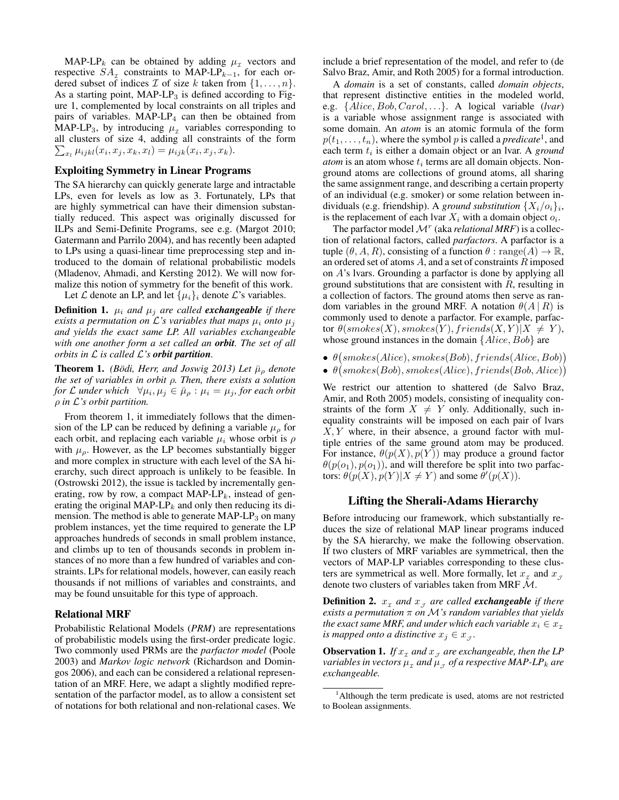MAP-LP<sub>k</sub> can be obtained by adding  $\mu$ <sub>x</sub> vectors and respective  $SA<sub>x</sub>$  constraints to MAP-LP<sub>k-1</sub>, for each ordered subset of indices  $\mathcal I$  of size k taken from  $\{1,\ldots,n\}$ . As a starting point,  $MAP-LP_3$  is defined according to Figure 1, complemented by local constraints on all triples and pairs of variables.  $MAP-LP<sub>4</sub>$  can then be obtained from MAP-LP<sub>3</sub>, by introducing  $\mu_{\tau}$  variables corresponding to all clusters of size 4, adding all constraints of the form  $\sum_{x_l} \mu_{ijkl}(x_i, x_j, x_k, x_l) = \mu_{ijk}(x_i, x_j, x_k).$ 

#### Exploiting Symmetry in Linear Programs

The SA hierarchy can quickly generate large and intractable LPs, even for levels as low as 3. Fortunately, LPs that are highly symmetrical can have their dimension substantially reduced. This aspect was originally discussed for ILPs and Semi-Definite Programs, see e.g. (Margot 2010; Gatermann and Parrilo 2004), and has recently been adapted to LPs using a quasi-linear time preprocessing step and introduced to the domain of relational probabilistic models (Mladenov, Ahmadi, and Kersting 2012). We will now formalize this notion of symmetry for the benefit of this work. Let  $\mathcal L$  denote an LP, and let  $\{\mu_i\}_i$  denote  $\mathcal L$ 's variables.

**Definition 1.**  $\mu_i$  *and*  $\mu_j$  *are called exchangeable if there exists a permutation on*  $\mathcal{L}$ 's variables that maps  $\mu_i$  *onto*  $\mu_j$ *and yields the exact same LP. All variables exchangeable with one another form a set called an orbit. The set of all orbits in* L *is called* L*'s orbit partition.*

**Theorem 1.** *(Bödi, Herr, and Joswig 2013) Let*  $\bar{\mu}_{\rho}$  *denote the set of variables in orbit* ρ*. Then, there exists a solution for* L under which  $\forall \mu_i, \mu_j \in \bar{\mu}_\rho : \mu_i = \mu_j$ , for each orbit ρ *in* L*'s orbit partition.*

From theorem 1, it immediately follows that the dimension of the LP can be reduced by defining a variable  $\mu_{\rho}$  for each orbit, and replacing each variable  $\mu_i$  whose orbit is  $\rho$ with  $\mu_{\rho}$ . However, as the LP becomes substantially bigger and more complex in structure with each level of the SA hierarchy, such direct approach is unlikely to be feasible. In (Ostrowski 2012), the issue is tackled by incrementally generating, row by row, a compact  $MAP-LP_k$ , instead of generating the original MAP-LP $_k$  and only then reducing its dimension. The method is able to generate  $MAP-LP_3$  on many problem instances, yet the time required to generate the LP approaches hundreds of seconds in small problem instance, and climbs up to ten of thousands seconds in problem instances of no more than a few hundred of variables and constraints. LPs for relational models, however, can easily reach thousands if not millions of variables and constraints, and may be found unsuitable for this type of approach.

### Relational MRF

Probabilistic Relational Models (*PRM*) are representations of probabilistic models using the first-order predicate logic. Two commonly used PRMs are the *parfactor model* (Poole 2003) and *Markov logic network* (Richardson and Domingos 2006), and each can be considered a relational representation of an MRF. Here, we adapt a slightly modified representation of the parfactor model, as to allow a consistent set of notations for both relational and non-relational cases. We include a brief representation of the model, and refer to (de Salvo Braz, Amir, and Roth 2005) for a formal introduction.

A *domain* is a set of constants, called *domain objects*, that represent distinctive entities in the modeled world, e.g. {Alice, Bob, Carol, . . .}. A logical variable (*lvar*) is a variable whose assignment range is associated with some domain. An *atom* is an atomic formula of the form  $p(t_1, \ldots, t_n)$ , where the symbol p is called a *predicate*<sup>1</sup>, and each term  $t_i$  is either a domain object or an lvar. A *ground*  $atom$  is an atom whose  $t_i$  terms are all domain objects. Nonground atoms are collections of ground atoms, all sharing the same assignment range, and describing a certain property of an individual (e.g. smoker) or some relation between individuals (e.g. friendship). A *ground substitution*  $\{X_i/o_i\}_i$ , is the replacement of each lvar  $X_i$  with a domain object  $o_i$ .

The parfactor model  $\mathcal{M}^r$  (aka *relational MRF*) is a collection of relational factors, called *parfactors*. A parfactor is a tuple  $(\theta, A, R)$ , consisting of a function  $\theta$  : range $(A) \rightarrow \mathbb{R}$ , an ordered set of atoms  $A$ , and a set of constraints  $R$  imposed on A's lvars. Grounding a parfactor is done by applying all ground substitutions that are consistent with  $R$ , resulting in a collection of factors. The ground atoms then serve as random variables in the ground MRF. A notation  $\theta(A | R)$  is commonly used to denote a parfactor. For example, parfactor  $\theta(smokes(X),smokes(Y), friends(X, Y)|X \neq Y),$ whose ground instances in the domain  $\{Alice, Bob\}$  are

- $\bullet$   $\theta(smokes(Alice),smokes(Bob), friends(Alice, Bob))$
- $\bullet$   $\theta(smokes(Bob),smokes(Alice), friends(Bob, Alice))$

We restrict our attention to shattered (de Salvo Braz, Amir, and Roth 2005) models, consisting of inequality constraints of the form  $X \neq Y$  only. Additionally, such inequality constraints will be imposed on each pair of lvars  $X, Y$  where, in their absence, a ground factor with multiple entries of the same ground atom may be produced. For instance,  $\theta(p(X), p(Y))$  may produce a ground factor  $\theta(p(o_1), p(o_1))$ , and will therefore be split into two parfactors:  $\theta(p(X), p(Y)|X \neq Y)$  and some  $\theta'(p(X))$ .

### Lifting the Sherali-Adams Hierarchy

Before introducing our framework, which substantially reduces the size of relational MAP linear programs induced by the SA hierarchy, we make the following observation. If two clusters of MRF variables are symmetrical, then the vectors of MAP-LP variables corresponding to these clusters are symmetrical as well. More formally, let  $x<sub>x</sub>$  and  $x<sub>y</sub>$ denote two clusters of variables taken from MRF M.

**Definition 2.**  $x_x$  and  $x_y$  are called **exchangeable** if there *exists a permutation* π *on* M*'s random variables that yields the exact same MRF, and under which each variable*  $x_i \in x_\tau$ *is mapped onto a distinctive*  $x_j \in x_{\mathcal{J}}$ .

**Observation 1.** If  $x<sub>x</sub>$  and  $x<sub>y</sub>$  are exchangeable, then the LP variables in vectors  $\mu_x$  and  $\mu_{\overline{J}}$  of a respective MAP-LP<sub>k</sub> are *exchangeable.*

<sup>&</sup>lt;sup>1</sup>Although the term predicate is used, atoms are not restricted to Boolean assignments.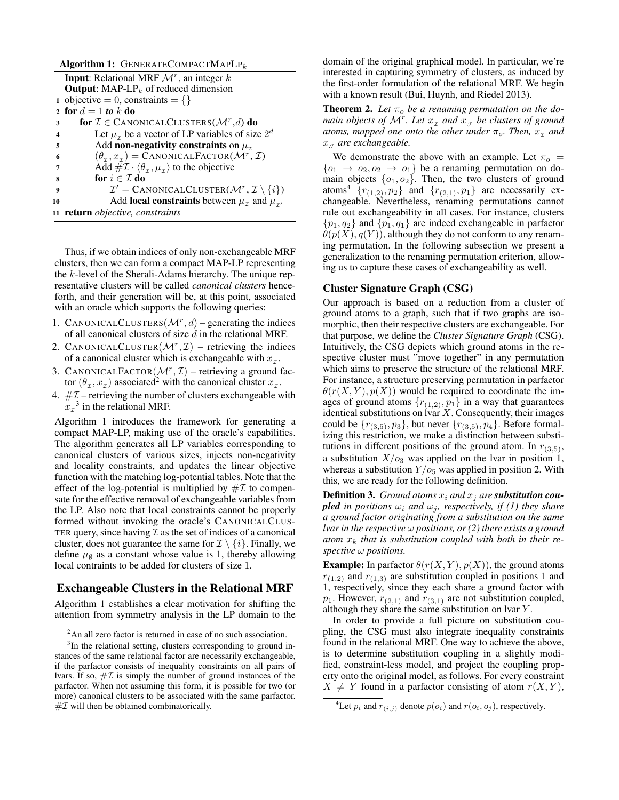| Algorithm 1: GENERATECOMPACTMAPLP <sub>k</sub>                                            |  |
|-------------------------------------------------------------------------------------------|--|
| <b>Input:</b> Relational MRF $\mathcal{M}^r$ , an integer k                               |  |
| <b>Output:</b> MAP-LP <sub>k</sub> of reduced dimension                                   |  |
| 1 objective = 0, constraints = {}                                                         |  |
| 2 for $d=1$ to k do                                                                       |  |
| for $\mathcal{I} \in \text{CANONICALCLUSTERS}(\mathcal{M}^r,d)$ do<br>3                   |  |
| Let $\mu_{\tau}$ be a vector of LP variables of size $2^d$<br>4                           |  |
| Add non-negativity constraints on $\mu_{\tau}$<br>5                                       |  |
| $(\theta_{\tau}, x_{\tau})$ = CANONICALFACTOR( $\mathcal{M}^{r}$ , <i>I</i> )<br>6        |  |
| Add $\# \mathcal{I} \cdot \langle \theta_\tau, \mu_\tau \rangle$ to the objective<br>7    |  |
| for $i \in \mathcal{I}$ do<br>8                                                           |  |
| $\mathcal{I}' = \text{CANONICALCLUSTER}(\mathcal{M}^r, \mathcal{I} \setminus \{i\})$<br>9 |  |
| Add <b>local constraints</b> between $\mu_{\tau}$ and $\mu_{\tau}$ ,<br>10                |  |
| 11 <b>return</b> objective, constraints                                                   |  |

Thus, if we obtain indices of only non-exchangeable MRF clusters, then we can form a compact MAP-LP representing the k-level of the Sherali-Adams hierarchy. The unique representative clusters will be called *canonical clusters* henceforth, and their generation will be, at this point, associated with an oracle which supports the following queries:

- 1. CANONICALCLUSTERS  $(\mathcal{M}^r, d)$  generating the indices of all canonical clusters of size  $d$  in the relational MRF.
- 2. CANONICALCLUSTER $(M^r, \mathcal{I})$  retrieving the indices of a canonical cluster which is exchangeable with  $x_{\tau}$ .
- 3. CANONICALFACTOR $(M^r, \mathcal{I})$  retrieving a ground factor  $(\theta_x, x_\tau)$  associated<sup>2</sup> with the canonical cluster  $x_\tau$ .
- 4.  $#I$  retrieving the number of clusters exchangeable with  $x_{\tau}^3$  in the relational MRF.

Algorithm 1 introduces the framework for generating a compact MAP-LP, making use of the oracle's capabilities. The algorithm generates all LP variables corresponding to canonical clusters of various sizes, injects non-negativity and locality constraints, and updates the linear objective function with the matching log-potential tables. Note that the effect of the log-potential is multiplied by  $\# \mathcal{I}$  to compensate for the effective removal of exchangeable variables from the LP. Also note that local constraints cannot be properly formed without invoking the oracle's CANONICALCLUS-TER query, since having  $\mathcal I$  as the set of indices of a canonical cluster, does not guarantee the same for  $\mathcal{I} \setminus \{i\}$ . Finally, we define  $\mu_{\emptyset}$  as a constant whose value is 1, thereby allowing local contraints to be added for clusters of size 1.

### Exchangeable Clusters in the Relational MRF

Algorithm 1 establishes a clear motivation for shifting the attention from symmetry analysis in the LP domain to the

domain of the original graphical model. In particular, we're interested in capturing symmetry of clusters, as induced by the first-order formulation of the relational MRF. We begin with a known result (Bui, Huynh, and Riedel 2013).

**Theorem 2.** Let  $\pi_o$  be a renaming permutation on the do*main objects of*  $\mathcal{M}^r$ *. Let*  $x_{\tau}$  *and*  $\tilde{x}_{\tau}$  *be clusters of ground* atoms, mapped one onto the other under  $\pi_o$ . Then,  $x_{\text{\tiny\it I}}$  and  $x<sub>J</sub>$  are exchangeable.

We demonstrate the above with an example. Let  $\pi_{\alpha} =$  ${o_1 \rightarrow o_2, o_2 \rightarrow o_1}$  be a renaming permutation on domain objects  $\{o_1, o_2\}$ . Then, the two clusters of ground atoms<sup>4</sup>  $\{r_{(1,2)}, r_2\}$  and  $\{r_{(2,1)}, r_1\}$  are necessarily exchangeable. Nevertheless, renaming permutations cannot rule out exchangeability in all cases. For instance, clusters  $\{p_1, q_2\}$  and  $\{p_1, q_1\}$  are indeed exchangeable in parfactor  $\theta(p(X), q(Y))$ , although they do not conform to any renaming permutation. In the following subsection we present a generalization to the renaming permutation criterion, allowing us to capture these cases of exchangeability as well.

### Cluster Signature Graph (CSG)

Our approach is based on a reduction from a cluster of ground atoms to a graph, such that if two graphs are isomorphic, then their respective clusters are exchangeable. For that purpose, we define the *Cluster Signature Graph* (CSG). Intuitively, the CSG depicts which ground atoms in the respective cluster must "move together" in any permutation which aims to preserve the structure of the relational MRF. For instance, a structure preserving permutation in parfactor  $\theta(r(X, Y), p(X))$  would be required to coordinate the images of ground atoms  $\{r_{(1,2)}, p_1\}$  in a way that guarantees identical substitutions on  $\text{Var } X$ . Consequently, their images could be  $\{r_{(3,5)}, p_3\}$ , but never  $\{r_{(3,5)}, p_4\}$ . Before formalizing this restriction, we make a distinction between substitutions in different positions of the ground atom. In  $r_{(3,5)}$ , a substitution  $X/o_3$  was applied on the lvar in position 1, whereas a substitution  $Y/o<sub>5</sub>$  was applied in position 2. With this, we are ready for the following definition.

**Definition 3.** *Ground atoms*  $x_i$  *and*  $x_j$  *are substitution coupled in positions*  $\omega_i$  *and*  $\omega_j$ *, respectively, if (1) they share a ground factor originating from a substitution on the same lvar in the respective* ω *positions, or (2) there exists a ground* atom  $x_k$  that is substitution coupled with both in their re*spective* ω *positions.*

**Example:** In parfactor  $\theta(r(X, Y), p(X))$ , the ground atoms  $r_{(1,2)}$  and  $r_{(1,3)}$  are substitution coupled in positions 1 and 1, respectively, since they each share a ground factor with  $p_1$ . However,  $r_{(2,1)}$  and  $r_{(3,1)}$  are not substitution coupled, although they share the same substitution on lvar Y .

In order to provide a full picture on substitution coupling, the CSG must also integrate inequality constraints found in the relational MRF. One way to achieve the above, is to determine substitution coupling in a slightly modified, constraint-less model, and project the coupling property onto the original model, as follows. For every constraint  $X \neq Y$  found in a parfactor consisting of atom  $r(X, Y)$ ,

 $2<sup>2</sup>$ An all zero factor is returned in case of no such association.

<sup>&</sup>lt;sup>3</sup>In the relational setting, clusters corresponding to ground instances of the same relational factor are necessarily exchangeable, if the parfactor consists of inequality constraints on all pairs of lvars. If so,  $\# \mathcal{I}$  is simply the number of ground instances of the parfactor. When not assuming this form, it is possible for two (or more) canonical clusters to be associated with the same parfactor.  $#I$  will then be obtained combinatorically.

<sup>&</sup>lt;sup>4</sup>Let  $p_i$  and  $r_{(i,j)}$  denote  $p(o_i)$  and  $r(o_i, o_j)$ , respectively.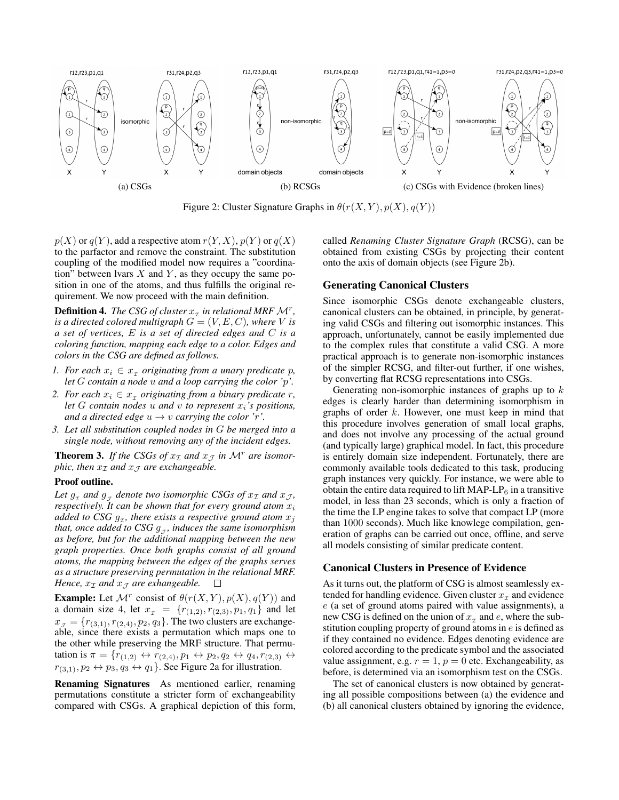

Figure 2: Cluster Signature Graphs in  $\theta(r(X, Y), p(X), q(Y))$ 

 $p(X)$  or  $q(Y)$ , add a respective atom  $r(Y, X)$ ,  $p(Y)$  or  $q(X)$ to the parfactor and remove the constraint. The substitution coupling of the modified model now requires a "coordination" between lvars  $X$  and  $Y$ , as they occupy the same position in one of the atoms, and thus fulfills the original requirement. We now proceed with the main definition.

**Definition 4.** The CSG of cluster  $x<sub>x</sub>$  in relational MRF  $\mathcal{M}^r$ , *is a directed colored multigraph*  $G = (V, E, C)$ *, where* V *is a set of vertices,* E *is a set of directed edges and* C *is a coloring function, mapping each edge to a color. Edges and colors in the CSG are defined as follows.*

- *1. For each*  $x_i \in x_{\tau}$  *originating from a unary predicate p, let* G *contain a node* u *and a loop carrying the color '*p*'.*
- 2. For each  $x_i \in x_{\mathcal{I}}$  originating from a binary predicate r, *let*  $G$  *contain nodes*  $u$  *and*  $v$  *to represent*  $x_i$ *'s positions, and a directed edge*  $u \rightarrow v$  *carrying the color 'r'*.
- *3. Let all substitution coupled nodes in* G *be merged into a single node, without removing any of the incident edges.*

**Theorem 3.** If the CSGs of  $x<sub>I</sub>$  and  $x<sub>J</sub>$  in  $\mathcal{M}^r$  are isomor*phic, then*  $x<sub>I</sub>$  *and*  $x<sub>J</sub>$  *are exchangeable.* 

### Proof outline.

Let  $g_x$  and  $g_y$  denote two isomorphic CSGs of  $x_\mathcal{I}$  and  $x_\mathcal{J}$ , *respectively. It can be shown that for every ground atom*  $x_i$ added to CSG  $g_x$ , there exists a respective ground atom  $x_j$ that, once added to CSG  $g_{J}$ , induces the same isomorphism *as before, but for the additional mapping between the new graph properties. Once both graphs consist of all ground atoms, the mapping between the edges of the graphs serves as a structure preserving permutation in the relational MRF. Hence,*  $x_{\mathcal{I}}$  *and*  $x_{\mathcal{I}}$  *are exhangeable.*  $\Box$ 

**Example:** Let  $\mathcal{M}^r$  consist of  $\theta(r(X, Y), p(X), q(Y))$  and a domain size 4, let  $x_1 = \{r_{(1,2)}, r_{(2,3)}, p_1, q_1\}$  and let  $x_{\mathcal{J}} = \{r_{(3,1)}, r_{(2,4)}, p_2, q_3\}$ . The two clusters are exchangeable, since there exists a permutation which maps one to the other while preserving the MRF structure. That permutation is  $\pi = \{r_{(1,2)} \leftrightarrow r_{(2,4)}, p_1 \leftrightarrow p_2, q_2 \leftrightarrow q_4, r_{(2,3)} \leftrightarrow$  $r_{(3,1)}, p_2 \leftrightarrow p_3, q_3 \leftrightarrow q_1$ . See Figure 2a for illustration.

Renaming Signatures As mentioned earlier, renaming permutations constitute a stricter form of exchangeability compared with CSGs. A graphical depiction of this form,

called *Renaming Cluster Signature Graph* (RCSG), can be obtained from existing CSGs by projecting their content onto the axis of domain objects (see Figure 2b).

#### Generating Canonical Clusters

Since isomorphic CSGs denote exchangeable clusters, canonical clusters can be obtained, in principle, by generating valid CSGs and filtering out isomorphic instances. This approach, unfortunately, cannot be easily implemented due to the complex rules that constitute a valid CSG. A more practical approach is to generate non-isomorphic instances of the simpler RCSG, and filter-out further, if one wishes, by converting flat RCSG representations into CSGs.

Generating non-isomorphic instances of graphs up to  $k$ edges is clearly harder than determining isomorphism in graphs of order k. However, one must keep in mind that this procedure involves generation of small local graphs, and does not involve any processing of the actual ground (and typically large) graphical model. In fact, this procedure is entirely domain size independent. Fortunately, there are commonly available tools dedicated to this task, producing graph instances very quickly. For instance, we were able to obtain the entire data required to lift MAP-LP $_6$  in a transitive model, in less than 23 seconds, which is only a fraction of the time the LP engine takes to solve that compact LP (more than 1000 seconds). Much like knowlege compilation, generation of graphs can be carried out once, offline, and serve all models consisting of similar predicate content.

#### Canonical Clusters in Presence of Evidence

As it turns out, the platform of CSG is almost seamlessly extended for handling evidence. Given cluster  $x<sub>x</sub>$  and evidence e (a set of ground atoms paired with value assignments), a new CSG is defined on the union of  $x<sub>x</sub>$  and e, where the substitution coupling property of ground atoms in  $e$  is defined as if they contained no evidence. Edges denoting evidence are colored according to the predicate symbol and the associated value assignment, e.g.  $r = 1$ ,  $p = 0$  etc. Exchangeability, as before, is determined via an isomorphism test on the CSGs.

The set of canonical clusters is now obtained by generating all possible compositions between (a) the evidence and (b) all canonical clusters obtained by ignoring the evidence,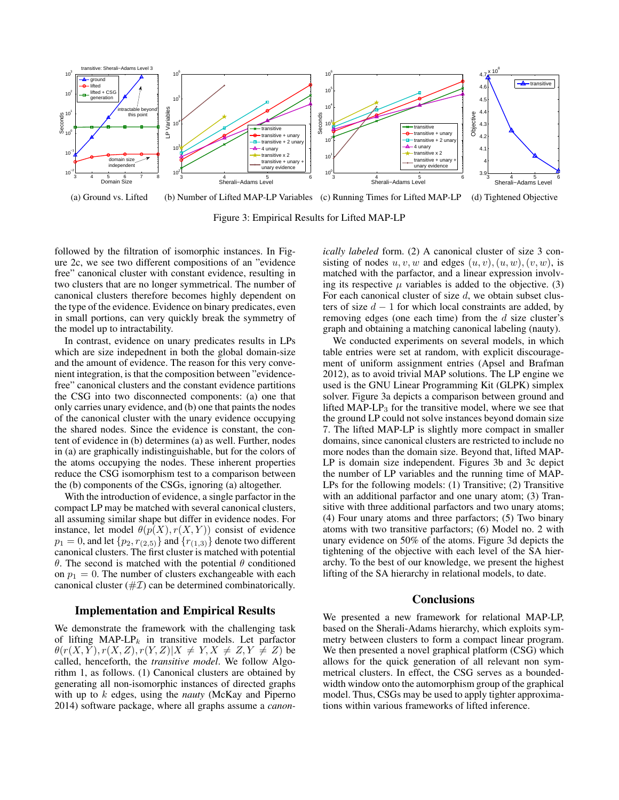

(a) Ground vs. Lifted (b) Number of Lifted MAP-LP Variables (c) Running Times for Lifted MAP-LP (d) Tightened Objective

Figure 3: Empirical Results for Lifted MAP-LP

followed by the filtration of isomorphic instances. In Figure 2c, we see two different compositions of an "evidence free" canonical cluster with constant evidence, resulting in two clusters that are no longer symmetrical. The number of canonical clusters therefore becomes highly dependent on the type of the evidence. Evidence on binary predicates, even in small portions, can very quickly break the symmetry of the model up to intractability.

In contrast, evidence on unary predicates results in LPs which are size indepednent in both the global domain-size and the amount of evidence. The reason for this very convenient integration, is that the composition between "evidencefree" canonical clusters and the constant evidence partitions the CSG into two disconnected components: (a) one that only carries unary evidence, and (b) one that paints the nodes of the canonical cluster with the unary evidence occupying the shared nodes. Since the evidence is constant, the content of evidence in (b) determines (a) as well. Further, nodes in (a) are graphically indistinguishable, but for the colors of the atoms occupying the nodes. These inherent properties reduce the CSG isomorphism test to a comparison between the (b) components of the CSGs, ignoring (a) altogether.

With the introduction of evidence, a single parfactor in the compact LP may be matched with several canonical clusters, all assuming similar shape but differ in evidence nodes. For instance, let model  $\theta(p(X), r(X, Y))$  consist of evidence  $p_1 = 0$ , and let  $\{p_2, r_{(2,5)}\}$  and  $\{r_{(1,3)}\}$  denote two different canonical clusters. The first cluster is matched with potential θ. The second is matched with the potential  $θ$  conditioned on  $p_1 = 0$ . The number of clusters exchangeable with each canonical cluster  $(\# \mathcal{I})$  can be determined combinatorically.

### Implementation and Empirical Results

We demonstrate the framework with the challenging task of lifting MAP-LP<sub>k</sub> in transitive models. Let parfactor  $\theta(r(X, Y), r(X, Z), r(Y, Z)|X \neq Y, X \neq Z, Y \neq Z)$  be called, henceforth, the *transitive model*. We follow Algorithm 1, as follows. (1) Canonical clusters are obtained by generating all non-isomorphic instances of directed graphs with up to k edges, using the *nauty* (McKay and Piperno 2014) software package, where all graphs assume a *canon-* *ically labeled* form. (2) A canonical cluster of size 3 consisting of nodes  $u, v, w$  and edges  $(u, v), (u, w), (v, w)$ , is matched with the parfactor, and a linear expression involving its respective  $\mu$  variables is added to the objective. (3) For each canonical cluster of size  $d$ , we obtain subset clusters of size  $d - 1$  for which local constraints are added, by removing edges (one each time) from the  $d$  size cluster's graph and obtaining a matching canonical labeling (nauty).

We conducted experiments on several models, in which table entries were set at random, with explicit discouragement of uniform assignment entries (Apsel and Brafman 2012), as to avoid trivial MAP solutions. The LP engine we used is the GNU Linear Programming Kit (GLPK) simplex solver. Figure 3a depicts a comparison between ground and lifted MAP-LP<sub>3</sub> for the transitive model, where we see that the ground LP could not solve instances beyond domain size 7. The lifted MAP-LP is slightly more compact in smaller domains, since canonical clusters are restricted to include no more nodes than the domain size. Beyond that, lifted MAP-LP is domain size independent. Figures 3b and 3c depict the number of LP variables and the running time of MAP-LPs for the following models: (1) Transitive; (2) Transitive with an additional parfactor and one unary atom; (3) Transitive with three additional parfactors and two unary atoms; (4) Four unary atoms and three parfactors; (5) Two binary atoms with two transitive parfactors; (6) Model no. 2 with unary evidence on 50% of the atoms. Figure 3d depicts the tightening of the objective with each level of the SA hierarchy. To the best of our knowledge, we present the highest lifting of the SA hierarchy in relational models, to date.

### **Conclusions**

We presented a new framework for relational MAP-LP, based on the Sherali-Adams hierarchy, which exploits symmetry between clusters to form a compact linear program. We then presented a novel graphical platform (CSG) which allows for the quick generation of all relevant non symmetrical clusters. In effect, the CSG serves as a boundedwidth window onto the automorphism group of the graphical model. Thus, CSGs may be used to apply tighter approximations within various frameworks of lifted inference.